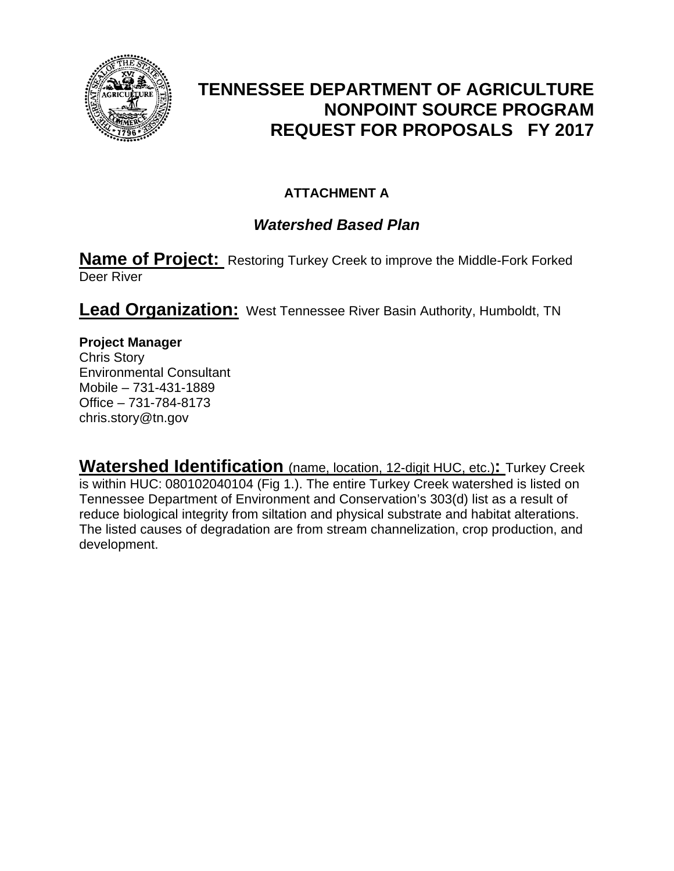

## **TENNESSEE DEPARTMENT OF AGRICULTURE NONPOINT SOURCE PROGRAM REQUEST FOR PROPOSALS FY 2017**

### **ATTACHMENT A**

### *Watershed Based Plan*

**Name of Project:** Restoring Turkey Creek to improve the Middle-Fork Forked Deer River

**Lead Organization:** West Tennessee River Basin Authority, Humboldt, TN

### **Project Manager**

Chris Story Environmental Consultant Mobile – 731-431-1889 Office – 731-784-8173 chris.story@tn.gov

**Watershed Identification** (name, location, 12-digit HUC, etc.)**:** Turkey Creek is within HUC: 080102040104 (Fig 1.). The entire Turkey Creek watershed is listed on Tennessee Department of Environment and Conservation's 303(d) list as a result of reduce biological integrity from siltation and physical substrate and habitat alterations. The listed causes of degradation are from stream channelization, crop production, and development.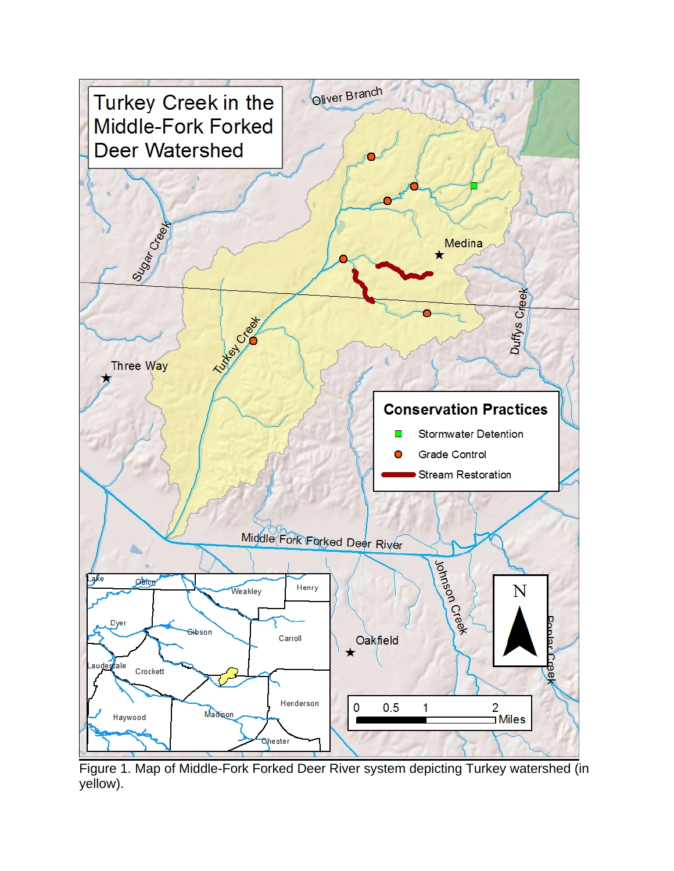

Figure 1. Map of Middle-Fork Forked Deer River system depicting Turkey watershed (in yellow).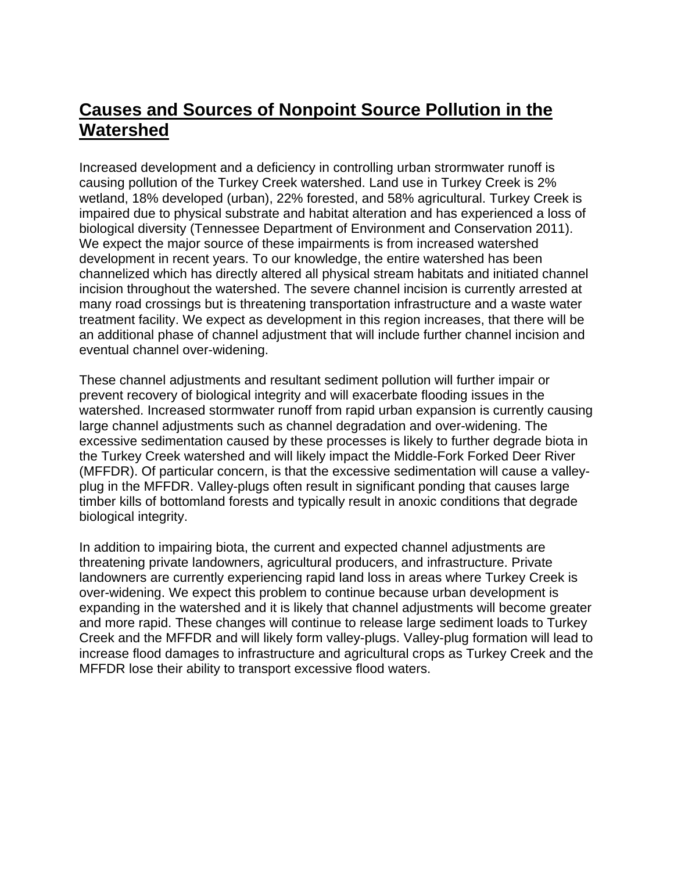## **Causes and Sources of Nonpoint Source Pollution in the Watershed**

Increased development and a deficiency in controlling urban strormwater runoff is causing pollution of the Turkey Creek watershed. Land use in Turkey Creek is 2% wetland, 18% developed (urban), 22% forested, and 58% agricultural. Turkey Creek is impaired due to physical substrate and habitat alteration and has experienced a loss of biological diversity (Tennessee Department of Environment and Conservation 2011). We expect the major source of these impairments is from increased watershed development in recent years. To our knowledge, the entire watershed has been channelized which has directly altered all physical stream habitats and initiated channel incision throughout the watershed. The severe channel incision is currently arrested at many road crossings but is threatening transportation infrastructure and a waste water treatment facility. We expect as development in this region increases, that there will be an additional phase of channel adjustment that will include further channel incision and eventual channel over-widening.

These channel adjustments and resultant sediment pollution will further impair or prevent recovery of biological integrity and will exacerbate flooding issues in the watershed. Increased stormwater runoff from rapid urban expansion is currently causing large channel adjustments such as channel degradation and over-widening. The excessive sedimentation caused by these processes is likely to further degrade biota in the Turkey Creek watershed and will likely impact the Middle-Fork Forked Deer River (MFFDR). Of particular concern, is that the excessive sedimentation will cause a valleyplug in the MFFDR. Valley-plugs often result in significant ponding that causes large timber kills of bottomland forests and typically result in anoxic conditions that degrade biological integrity.

In addition to impairing biota, the current and expected channel adjustments are threatening private landowners, agricultural producers, and infrastructure. Private landowners are currently experiencing rapid land loss in areas where Turkey Creek is over-widening. We expect this problem to continue because urban development is expanding in the watershed and it is likely that channel adjustments will become greater and more rapid. These changes will continue to release large sediment loads to Turkey Creek and the MFFDR and will likely form valley-plugs. Valley-plug formation will lead to increase flood damages to infrastructure and agricultural crops as Turkey Creek and the MFFDR lose their ability to transport excessive flood waters.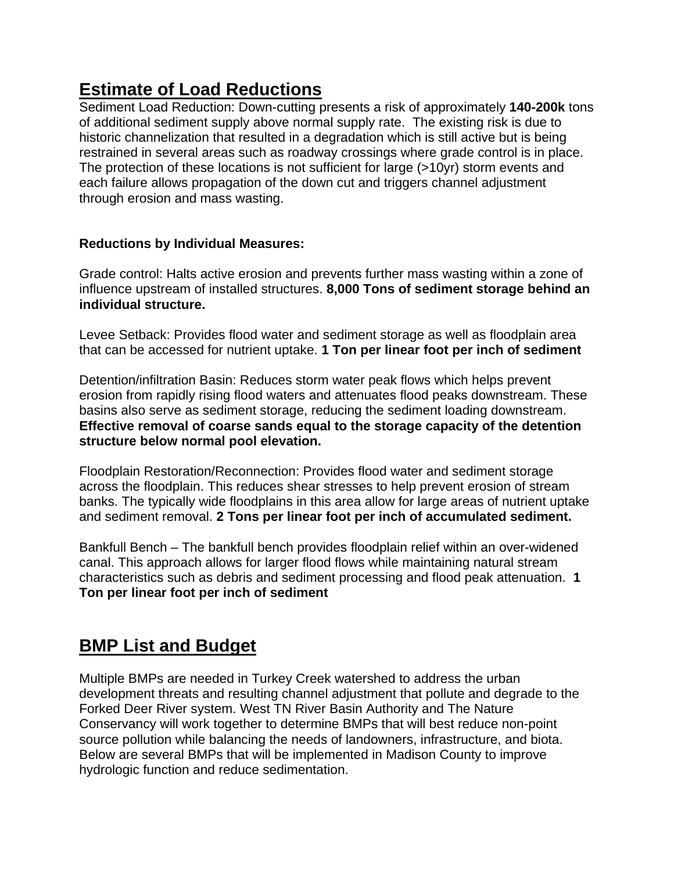## **Estimate of Load Reductions**

Sediment Load Reduction: Down-cutting presents a risk of approximately **140-200k** tons of additional sediment supply above normal supply rate. The existing risk is due to historic channelization that resulted in a degradation which is still active but is being restrained in several areas such as roadway crossings where grade control is in place. The protection of these locations is not sufficient for large (>10yr) storm events and each failure allows propagation of the down cut and triggers channel adjustment through erosion and mass wasting.

#### **Reductions by Individual Measures:**

Grade control: Halts active erosion and prevents further mass wasting within a zone of influence upstream of installed structures. **8,000 Tons of sediment storage behind an individual structure.** 

Levee Setback: Provides flood water and sediment storage as well as floodplain area that can be accessed for nutrient uptake. **1 Ton per linear foot per inch of sediment** 

Detention/infiltration Basin: Reduces storm water peak flows which helps prevent erosion from rapidly rising flood waters and attenuates flood peaks downstream. These basins also serve as sediment storage, reducing the sediment loading downstream. **Effective removal of coarse sands equal to the storage capacity of the detention structure below normal pool elevation.**

Floodplain Restoration/Reconnection: Provides flood water and sediment storage across the floodplain. This reduces shear stresses to help prevent erosion of stream banks. The typically wide floodplains in this area allow for large areas of nutrient uptake and sediment removal. **2 Tons per linear foot per inch of accumulated sediment.**

Bankfull Bench – The bankfull bench provides floodplain relief within an over-widened canal. This approach allows for larger flood flows while maintaining natural stream characteristics such as debris and sediment processing and flood peak attenuation. **1 Ton per linear foot per inch of sediment**

### **BMP List and Budget**

Multiple BMPs are needed in Turkey Creek watershed to address the urban development threats and resulting channel adjustment that pollute and degrade to the Forked Deer River system. West TN River Basin Authority and The Nature Conservancy will work together to determine BMPs that will best reduce non-point source pollution while balancing the needs of landowners, infrastructure, and biota. Below are several BMPs that will be implemented in Madison County to improve hydrologic function and reduce sedimentation.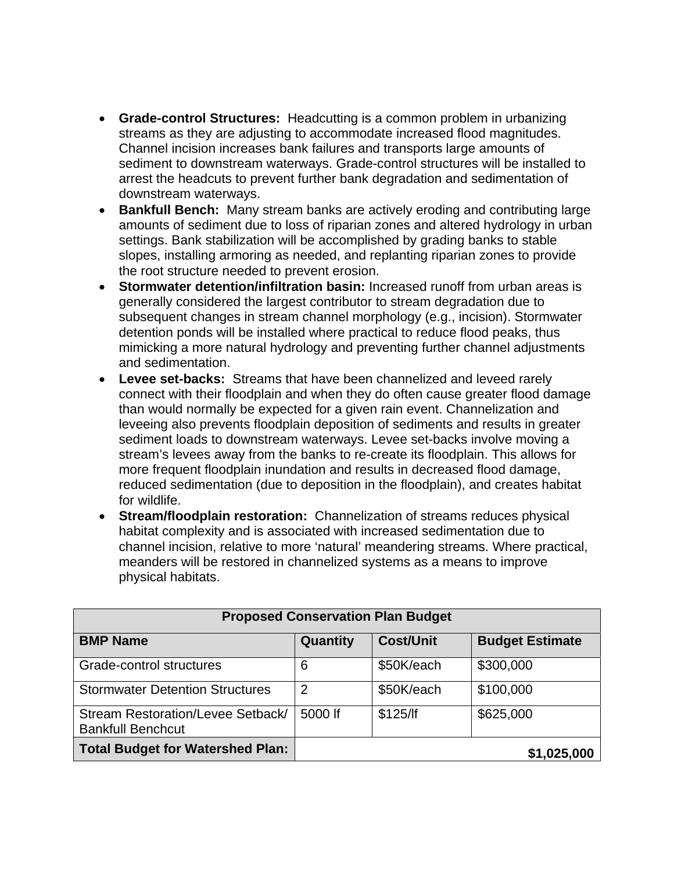- **Grade-control Structures:** Headcutting is a common problem in urbanizing streams as they are adjusting to accommodate increased flood magnitudes. Channel incision increases bank failures and transports large amounts of sediment to downstream waterways. Grade-control structures will be installed to arrest the headcuts to prevent further bank degradation and sedimentation of downstream waterways.
- **Bankfull Bench:** Many stream banks are actively eroding and contributing large amounts of sediment due to loss of riparian zones and altered hydrology in urban settings. Bank stabilization will be accomplished by grading banks to stable slopes, installing armoring as needed, and replanting riparian zones to provide the root structure needed to prevent erosion.
- **Stormwater detention/infiltration basin:** Increased runoff from urban areas is generally considered the largest contributor to stream degradation due to subsequent changes in stream channel morphology (e.g., incision). Stormwater detention ponds will be installed where practical to reduce flood peaks, thus mimicking a more natural hydrology and preventing further channel adjustments and sedimentation.
- **Levee set-backs:** Streams that have been channelized and leveed rarely connect with their floodplain and when they do often cause greater flood damage than would normally be expected for a given rain event. Channelization and leveeing also prevents floodplain deposition of sediments and results in greater sediment loads to downstream waterways. Levee set-backs involve moving a stream's levees away from the banks to re-create its floodplain. This allows for more frequent floodplain inundation and results in decreased flood damage, reduced sedimentation (due to deposition in the floodplain), and creates habitat for wildlife.
- **Stream/floodplain restoration:** Channelization of streams reduces physical habitat complexity and is associated with increased sedimentation due to channel incision, relative to more 'natural' meandering streams. Where practical, meanders will be restored in channelized systems as a means to improve physical habitats.

| <b>Proposed Conservation Plan Budget</b>                      |          |                  |                        |
|---------------------------------------------------------------|----------|------------------|------------------------|
| <b>BMP Name</b>                                               | Quantity | <b>Cost/Unit</b> | <b>Budget Estimate</b> |
| Grade-control structures                                      | 6        | \$50K/each       | \$300,000              |
| <b>Stormwater Detention Structures</b>                        | 2        | \$50K/each       | \$100,000              |
| Stream Restoration/Levee Setback/<br><b>Bankfull Benchcut</b> | 5000 lf  | \$125/lf         | \$625,000              |
| <b>Total Budget for Watershed Plan:</b>                       |          |                  | \$1,025,000            |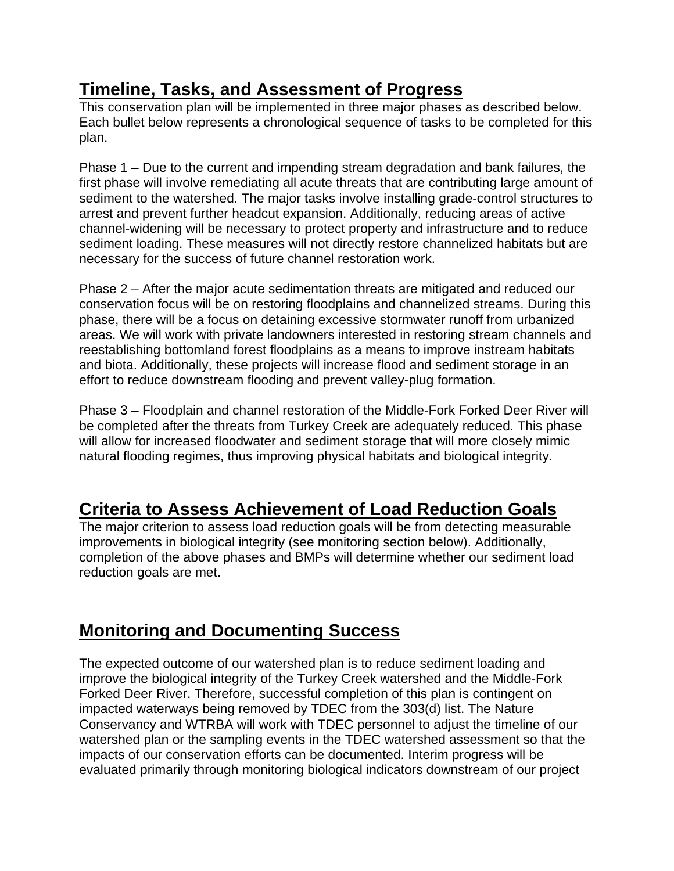## **Timeline, Tasks, and Assessment of Progress**

This conservation plan will be implemented in three major phases as described below. Each bullet below represents a chronological sequence of tasks to be completed for this plan.

Phase 1 – Due to the current and impending stream degradation and bank failures, the first phase will involve remediating all acute threats that are contributing large amount of sediment to the watershed. The major tasks involve installing grade-control structures to arrest and prevent further headcut expansion. Additionally, reducing areas of active channel-widening will be necessary to protect property and infrastructure and to reduce sediment loading. These measures will not directly restore channelized habitats but are necessary for the success of future channel restoration work.

Phase 2 – After the major acute sedimentation threats are mitigated and reduced our conservation focus will be on restoring floodplains and channelized streams. During this phase, there will be a focus on detaining excessive stormwater runoff from urbanized areas. We will work with private landowners interested in restoring stream channels and reestablishing bottomland forest floodplains as a means to improve instream habitats and biota. Additionally, these projects will increase flood and sediment storage in an effort to reduce downstream flooding and prevent valley-plug formation.

Phase 3 – Floodplain and channel restoration of the Middle-Fork Forked Deer River will be completed after the threats from Turkey Creek are adequately reduced. This phase will allow for increased floodwater and sediment storage that will more closely mimic natural flooding regimes, thus improving physical habitats and biological integrity.

# **Criteria to Assess Achievement of Load Reduction Goals**

The major criterion to assess load reduction goals will be from detecting measurable improvements in biological integrity (see monitoring section below). Additionally, completion of the above phases and BMPs will determine whether our sediment load reduction goals are met.

## **Monitoring and Documenting Success**

The expected outcome of our watershed plan is to reduce sediment loading and improve the biological integrity of the Turkey Creek watershed and the Middle-Fork Forked Deer River. Therefore, successful completion of this plan is contingent on impacted waterways being removed by TDEC from the 303(d) list. The Nature Conservancy and WTRBA will work with TDEC personnel to adjust the timeline of our watershed plan or the sampling events in the TDEC watershed assessment so that the impacts of our conservation efforts can be documented. Interim progress will be evaluated primarily through monitoring biological indicators downstream of our project